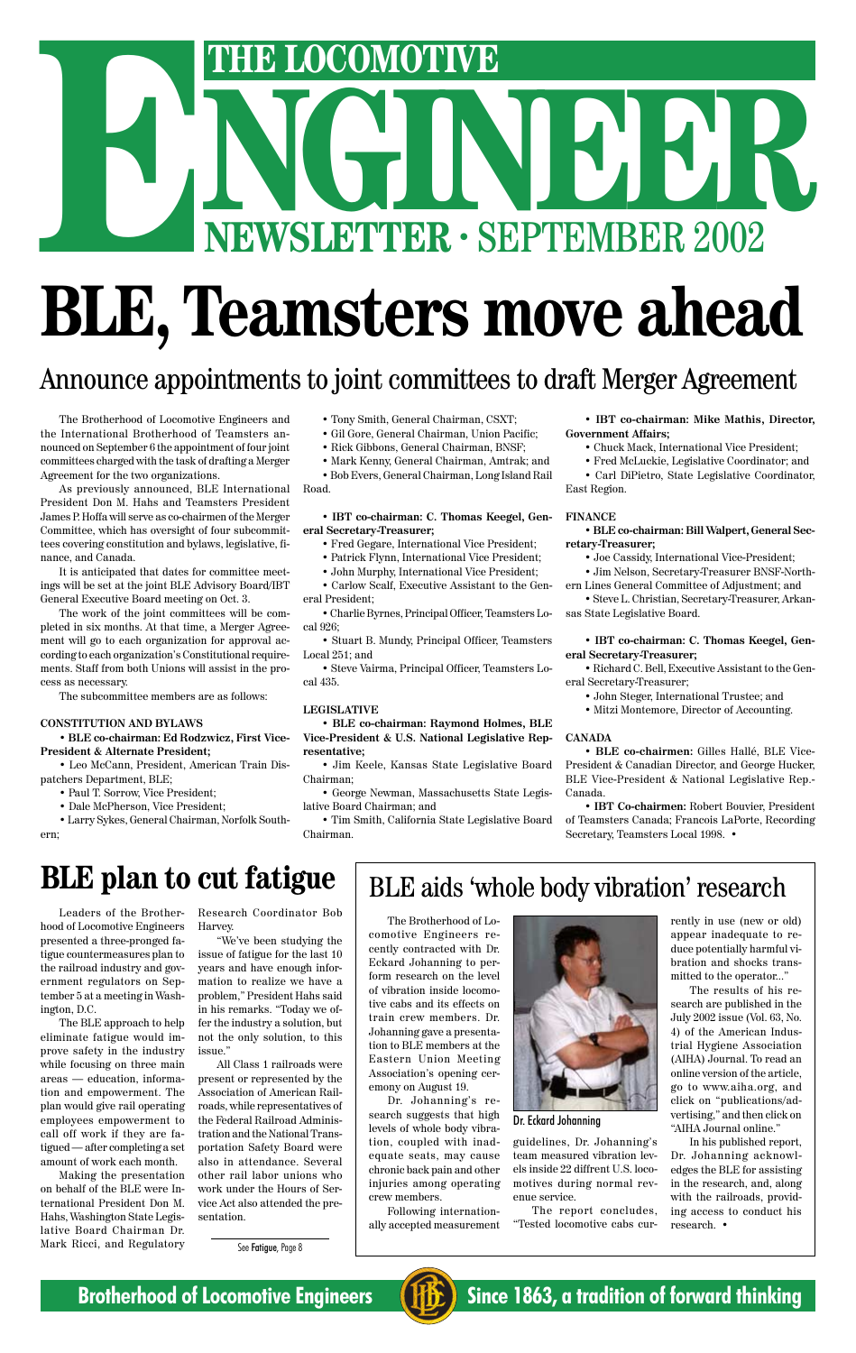# THE LOCOMOTIVE<br>
NEWSLETTER · SEPTEMBER 2002 **ENEWSLETTER · SEPTEMBER 2002**

# **BLE, Teamsters move ahead**

The Brotherhood of Locomotive Engineers and the International Brotherhood of Teamsters announced on September 6 the appointment of four joint committees charged with the task of drafting a Merger Agreement for the two organizations.

As previously announced, BLE International President Don M. Hahs and Teamsters President James P. Hoffa will serve as co-chairmen of the Merger Committee, which has oversight of four subcommittees covering constitution and bylaws, legislative, finance, and Canada.

It is anticipated that dates for committee meetings will be set at the joint BLE Advisory Board/IBT General Executive Board meeting on Oct. 3.

The work of the joint committees will be completed in six months. At that time, a Merger Agreement will go to each organization for approval according to each organization's Constitutional requirements. Staff from both Unions will assist in the process as necessary.

The subcommittee members are as follows:

#### **CONSTITUTION AND BYLAWS**

**• BLE co-chairman: Ed Rodzwicz, First Vice-President & Alternate President;**

• Leo McCann, President, American Train Dispatchers Department, BLE;

- Paul T. Sorrow, Vice President;
- Dale McPherson, Vice President;
- Larry Sykes, General Chairman, Norfolk Southern;
- Tony Smith, General Chairman, CSXT;
- Gil Gore, General Chairman, Union Pacific;
- Rick Gibbons, General Chairman, BNSF;
- Mark Kenny, General Chairman, Amtrak; and

• Bob Evers, General Chairman, Long Island Rail Road.

#### **• IBT co-chairman: C. Thomas Keegel, General Secretary-Treasurer;**

- Fred Gegare, International Vice President;
- Patrick Flynn, International Vice President;
- John Murphy, International Vice President;
- Carlow Scalf, Executive Assistant to the General President;

• Charlie Byrnes, Principal Officer, Teamsters Local 926;

• Stuart B. Mundy, Principal Officer, Teamsters Local 251; and

• Steve Vairma, Principal Officer, Teamsters Local 435.

#### **LEGISLATIVE**

**• BLE co-chairman: Raymond Holmes, BLE Vice-President & U.S. National Legislative Representative;**

• Jim Keele, Kansas State Legislative Board Chairman;

• George Newman, Massachusetts State Legislative Board Chairman; and

• Tim Smith, California State Legislative Board Chairman.

**• IBT co-chairman: Mike Mathis, Director, Government Affairs;**

- Chuck Mack, International Vice President;
- Fred McLuckie, Legislative Coordinator; and
- Carl DiPietro, State Legislative Coordinator, East Region.

#### **FINANCE**

**• BLE co-chairman: Bill Walpert, General Secretary-Treasurer;**

- Joe Cassidy, International Vice-President;
- Jim Nelson, Secretary-Treasurer BNSF-Northern Lines General Committee of Adjustment; and

• Steve L. Christian, Secretary-Treasurer, Arkansas State Legislative Board.

#### **• IBT co-chairman: C. Thomas Keegel, General Secretary-Treasurer;**

• Richard C. Bell, Executive Assistant to the General Secretary-Treasurer;

- John Steger, International Trustee; and
- Mitzi Montemore, Director of Accounting.

#### **CANADA**

• **BLE co-chairmen:** Gilles Hallé, BLE Vice-President & Canadian Director, and George Hucker, BLE Vice-President & National Legislative Rep.- Canada.

• **IBT Co-chairmen:** Robert Bouvier, President of Teamsters Canada; Francois LaPorte, Recording Secretary, Teamsters Local 1998. •

### Announce appointments to joint committees to draft Merger Agreement

Leaders of the Brotherhood of Locomotive Engineers presented a three-pronged fatigue countermeasures plan to the railroad industry and government regulators on Sep-

tember 5 at a meeting in Washington, D.C.

The BLE approach to help eliminate fatigue would improve safety in the industry while focusing on three main areas — education, information and empowerment. The plan would give rail operating employees empowerment to call off work if they are fatigued — after completing a set amount of work each month.

Making the presentation on behalf of the BLE were International President Don M. Hahs, Washington State Legislative Board Chairman Dr. Mark Ricci, and Regulatory Research Coordinator Bob Harvey.

"We've been studying the issue of fatigue for the last 10 years and have enough information to realize we have a problem," President Hahs said in his remarks. "Today we offer the industry a solution, but not the only solution, to this issue."

All Class 1 railroads were present or represented by the Association of American Railroads, while representatives of the Federal Railroad Administration and the National Transportation Safety Board were also in attendance. Several other rail labor unions who work under the Hours of Service Act also attended the presentation.

#### **BLE plan to cut fatigue**

See Fatigue, Page 8

The Brotherhood of Locomotive Engineers recently contracted with Dr. Eckard Johanning to perform research on the level of vibration inside locomotive cabs and its effects on train crew members. Dr. Johanning gave a presentation to BLE members at the Eastern Union Meeting Association's opening ceremony on August 19. Dr. Johanning's research suggests that high levels of whole body vibration, coupled with inadequate seats, may cause chronic back pain and other injuries among operating crew members.



Following internationally accepted measurement guidelines, Dr. Johanning's team measured vibration levels inside 22 diffrent U.S. locomotives during normal revenue service.

The report concludes, "Tested locomotive cabs currently in use (new or old) appear inadequate to reduce potentially harmful vibration and shocks transmitted to the operator..."

The results of his re-

search are published in the July 2002 issue (Vol. 63, No. 4) of the American Industrial Hygiene Association (AIHA) Journal. To read an online version of the article, go to www.aiha.org, and click on "publications/advertising," and then click on "AIHA Journal online."

In his published report, Dr. Johanning acknowledges the BLE for assisting in the research, and, along with the railroads, providing access to conduct his research. •



**Brotherhood of Locomotive Engineers (HE)** Since 1863, a tradition of forward thinking

#### BLE aids 'whole body vibration' research

Dr. Eckard Johanning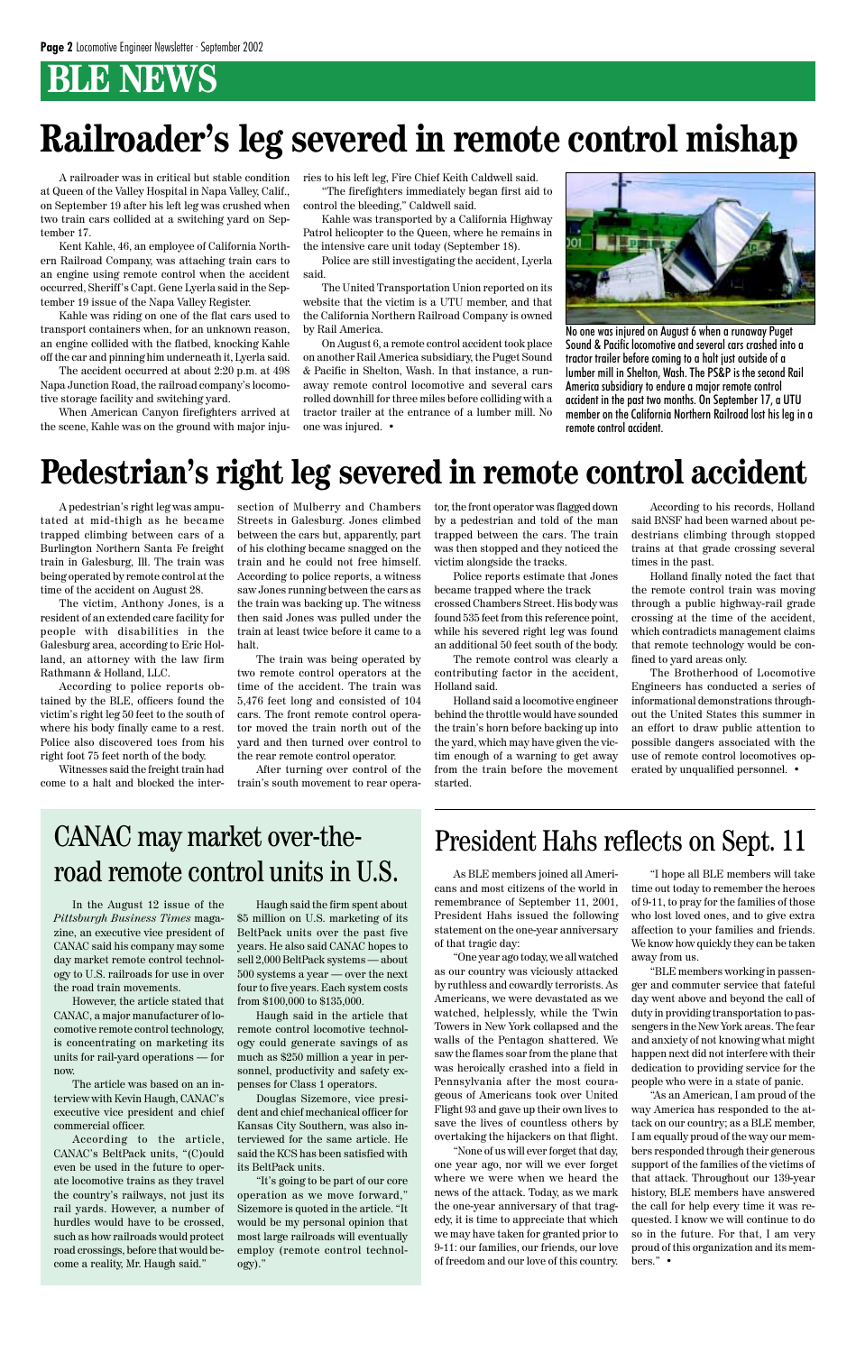## **BLE NEWS**

In the August 12 issue of the *Pittsburgh Business Times* magazine, an executive vice president of CANAC said his company may some day market remote control technology to U.S. railroads for use in over the road train movements.

However, the article stated that CANAC, a major manufacturer of locomotive remote control technology, is concentrating on marketing its units for rail-yard operations — for now.

The article was based on an interview with Kevin Haugh, CANAC's executive vice president and chief commercial officer.

According to the article, CANAC's BeltPack units, "(C)ould even be used in the future to operate locomotive trains as they travel the country's railways, not just its rail yards. However, a number of hurdles would have to be crossed, such as how railroads would protect road crossings, before that would become a reality, Mr. Haugh said."

Haugh said the firm spent about \$5 million on U.S. marketing of its BeltPack units over the past five years. He also said CANAC hopes to sell 2,000 BeltPack systems — about 500 systems a year — over the next four to five years. Each system costs

from \$100,000 to \$135,000.

Haugh said in the article that remote control locomotive technology could generate savings of as much as \$250 million a year in personnel, productivity and safety expenses for Class 1 operators.

Douglas Sizemore, vice president and chief mechanical officer for Kansas City Southern, was also interviewed for the same article. He said the KCS has been satisfied with its BeltPack units.

"It's going to be part of our core operation as we move forward," Sizemore is quoted in the article. "It would be my personal opinion that most large railroads will eventually employ (remote control technology)."

A pedestrian's right leg was amputated at mid-thigh as he became trapped climbing between cars of a Burlington Northern Santa Fe freight train in Galesburg, Ill. The train was being operated by remote control at the time of the accident on August 28.

The victim, Anthony Jones, is a resident of an extended care facility for people with disabilities in the Galesburg area, according to Eric Holland, an attorney with the law firm Rathmann & Holland, LLC.

According to police reports obtained by the BLE, officers found the victim's right leg 50 feet to the south of where his body finally came to a rest. Police also discovered toes from his right foot 75 feet north of the body.

Witnesses said the freight train had come to a halt and blocked the intersection of Mulberry and Chambers Streets in Galesburg. Jones climbed between the cars but, apparently, part of his clothing became snagged on the train and he could not free himself. According to police reports, a witness saw Jones running between the cars as the train was backing up. The witness then said Jones was pulled under the train at least twice before it came to a halt.

The train was being operated by two remote control operators at the time of the accident. The train was 5,476 feet long and consisted of 104 cars. The front remote control operator moved the train north out of the yard and then turned over control to the rear remote control operator.

After turning over control of the train's south movement to rear operator, the front operator was flagged down by a pedestrian and told of the man trapped between the cars. The train was then stopped and they noticed the victim alongside the tracks.

## CANAC may market over-theroad remote control units in U.S. As BLE members joined all Ameri-

Police reports estimate that Jones became trapped where the track crossed Chambers Street. His body was found 535 feet from this reference point, while his severed right leg was found an additional 50 feet south of the body.

The remote control was clearly a contributing factor in the accident, Holland said.

Holland said a locomotive engineer behind the throttle would have sounded the train's horn before backing up into the yard, which may have given the victim enough of a warning to get away from the train before the movement started.

According to his records, Holland said BNSF had been warned about pedestrians climbing through stopped trains at that grade crossing several times in the past.

Holland finally noted the fact that the remote control train was moving through a public highway-rail grade crossing at the time of the accident, which contradicts management claims that remote technology would be confined to yard areas only.

The Brotherhood of Locomotive Engineers has conducted a series of informational demonstrations throughout the United States this summer in an effort to draw public attention to possible dangers associated with the use of remote control locomotives operated by unqualified personnel. •

## **Railroader's leg severed in remote control mishap**

A railroader was in critical but stable condition ries to his left leg, Fire Chief Keith Caldwell said. at Queen of the Valley Hospital in Napa Valley, Calif., on September 19 after his left leg was crushed when two train cars collided at a switching yard on September 17.

Kent Kahle, 46, an employee of California Northern Railroad Company, was attaching train cars to an engine using remote control when the accident occurred, Sheriff's Capt. Gene Lyerla said in the September 19 issue of the Napa Valley Register.

Kahle was riding on one of the flat cars used to transport containers when, for an unknown reason, an engine collided with the flatbed, knocking Kahle off the car and pinning him underneath it, Lyerla said.

The accident occurred at about 2:20 p.m. at 498 Napa Junction Road, the railroad company's locomotive storage facility and switching yard.

When American Canyon firefighters arrived at the scene, Kahle was on the ground with major inju-

"The firefighters immediately began first aid to control the bleeding," Caldwell said.

Kahle was transported by a California Highway Patrol helicopter to the Queen, where he remains in the intensive care unit today (September 18).

Police are still investigating the accident, Lyerla said.

The United Transportation Union reported on its website that the victim is a UTU member, and that the California Northern Railroad Company is owned by Rail America.

On August 6, a remote control accident took place on another Rail America subsidiary, the Puget Sound & Pacific in Shelton, Wash. In that instance, a runaway remote control locomotive and several cars rolled downhill for three miles before colliding with a tractor trailer at the entrance of a lumber mill. No one was injured. •



No one was injured on August 6 when a runaway Puget Sound & Pacific locomotive and several cars crashed into a tractor trailer before coming to a halt just outside of a lumber mill in Shelton, Wash. The PS&P is the second Rail America subsidiary to endure a major remote control accident in the past two months. On September 17, a UTU member on the California Northern Railroad lost his leg in a remote control accident.

## **Pedestrian's right leg severed in remote control accident**

cans and most citizens of the world in remembrance of September 11, 2001, President Hahs issued the following statement on the one-year anniversary of that tragic day:

"One year ago today, we all watched as our country was viciously attacked by ruthless and cowardly terrorists. As Americans, we were devastated as we watched, helplessly, while the Twin Towers in New York collapsed and the walls of the Pentagon shattered. We saw the flames soar from the plane that was heroically crashed into a field in Pennsylvania after the most courageous of Americans took over United Flight 93 and gave up their own lives to save the lives of countless others by overtaking the hijackers on that flight. "None of us will ever forget that day, one year ago, nor will we ever forget where we were when we heard the news of the attack. Today, as we mark the one-year anniversary of that tragedy, it is time to appreciate that which we may have taken for granted prior to 9-11: our families, our friends, our love of freedom and our love of this country.

"I hope all BLE members will take time out today to remember the heroes of 9-11, to pray for the families of those who lost loved ones, and to give extra affection to your families and friends. We know how quickly they can be taken away from us.

"BLE members working in passenger and commuter service that fateful day went above and beyond the call of duty in providing transportation to passengers in the New York areas. The fear and anxiety of not knowing what might happen next did not interfere with their dedication to providing service for the people who were in a state of panic. "As an American, I am proud of the way America has responded to the attack on our country; as a BLE member, I am equally proud of the way our members responded through their generous support of the families of the victims of that attack. Throughout our 139-year history, BLE members have answered the call for help every time it was requested. I know we will continue to do so in the future. For that, I am very proud of this organization and its members." •

#### President Hahs reflects on Sept. 11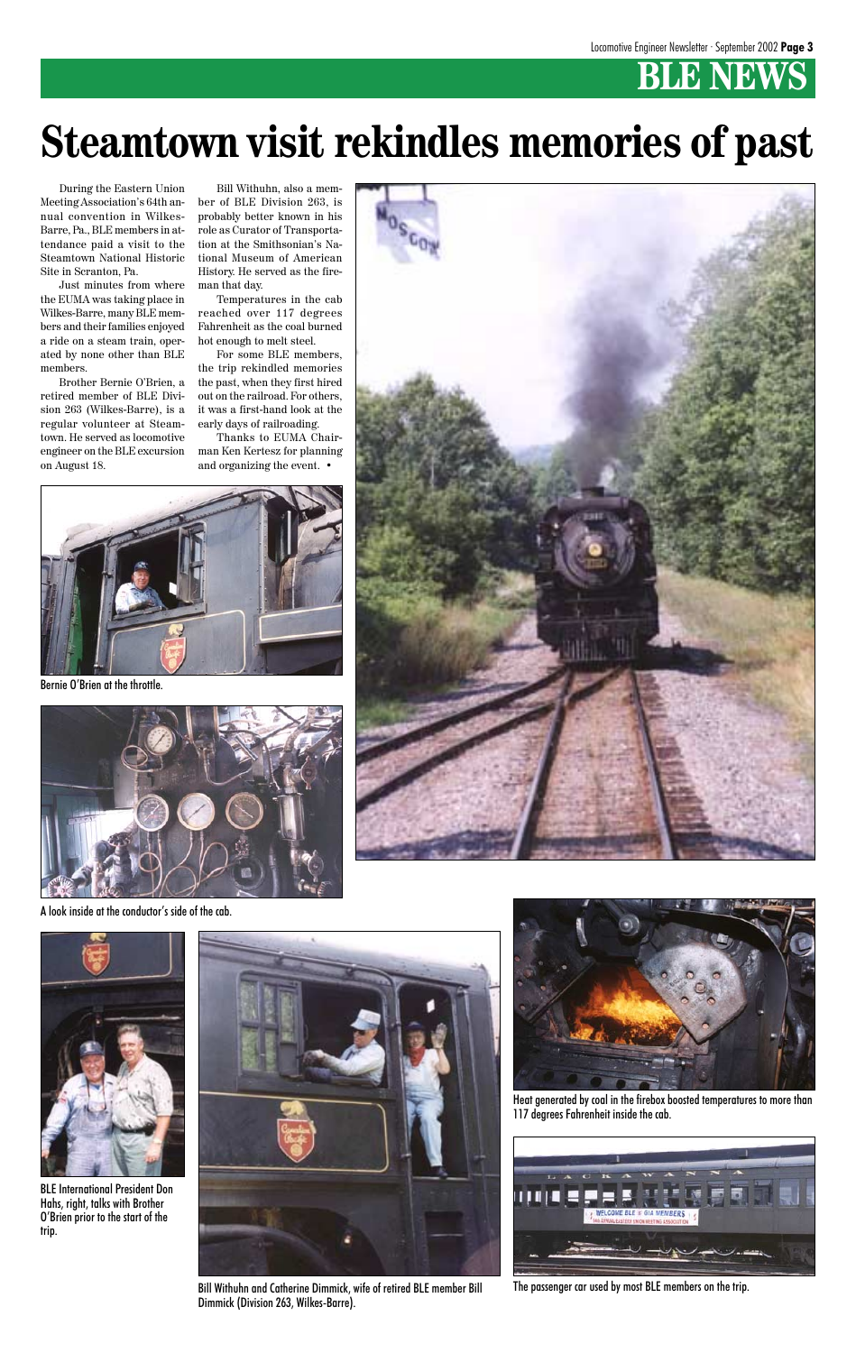## **BLE NEWS**

## **Steamtown visit rekindles memories of past**

During the Eastern Union Meeting Association's 64th annual convention in Wilkes-Barre, Pa., BLE members in attendance paid a visit to the Steamtown National Historic Site in Scranton, Pa.

Just minutes from where the EUMA was taking place in Wilkes-Barre, many BLE members and their families enjoyed a ride on a steam train, operated by none other than BLE members.

Brother Bernie O'Brien, a retired member of BLE Division 263 (Wilkes-Barre), is a regular volunteer at Steamtown. He served as locomotive engineer on the BLE excursion on August 18.

Bill Withuhn, also a member of BLE Division 263, is probably better known in his role as Curator of Transportation at the Smithsonian's National Museum of American History. He served as the fireman that day.

Temperatures in the cab reached over 117 degrees Fahrenheit as the coal burned hot enough to melt steel.

For some BLE members, the trip rekindled memories the past, when they first hired out on the railroad. For others, it was a first-hand look at the early days of railroading.

Thanks to EUMA Chairman Ken Kertesz for planning and organizing the event. •



Bernie O'Brien at the throttle.



A look inside at the conductor's side of the cab.









Heat generated by coal in the firebox boosted temperatures to more than 117 degrees Fahrenheit inside the cab.



The passenger car used by most BLE members on the trip.

BLE International President Don Hahs, right, talks with Brother O'Brien prior to the start of the trip.

Bill Withuhn and Catherine Dimmick, wife of retired BLE member Bill Dimmick (Division 263, Wilkes-Barre).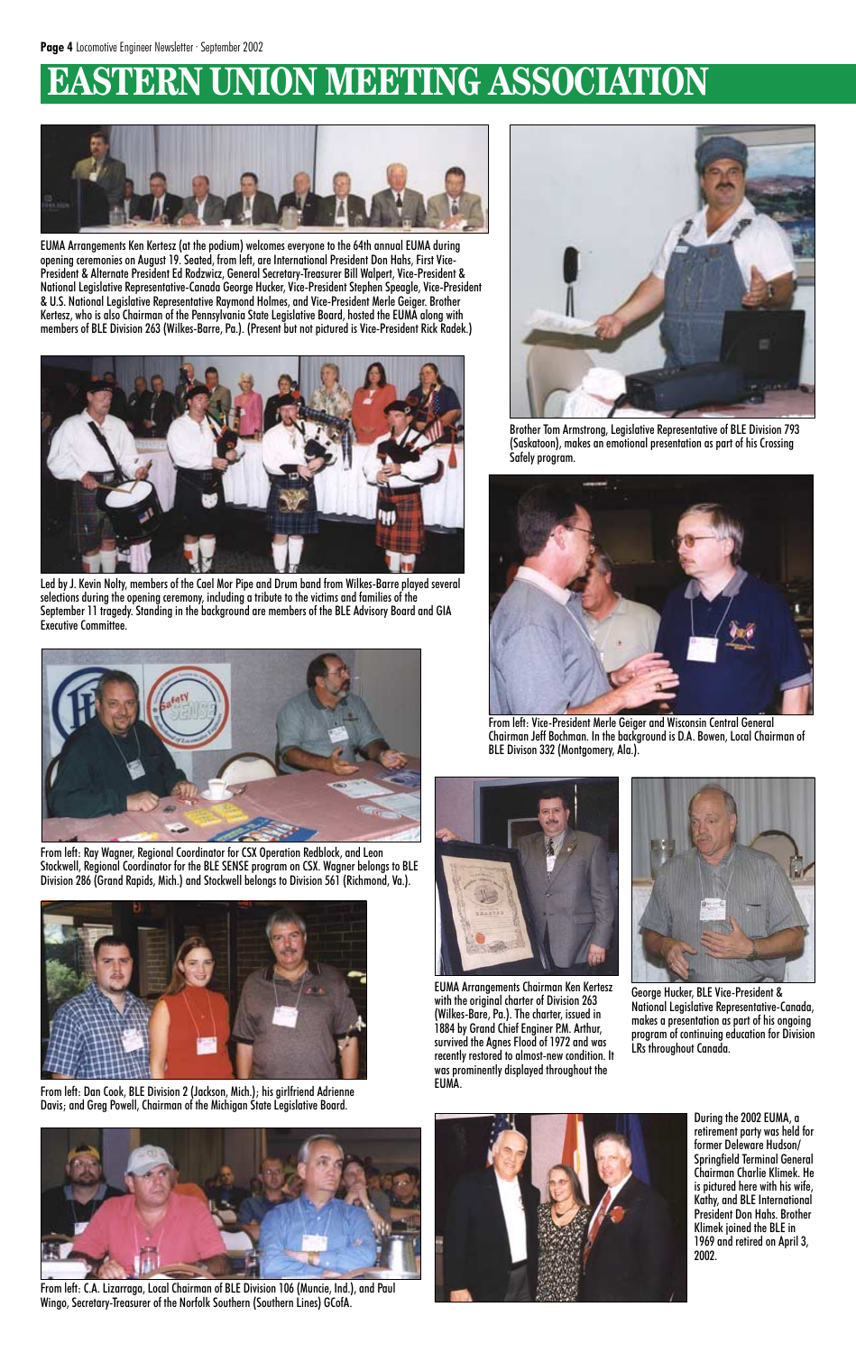## **EASTERN UNION MEETING ASSOCIATION**

From left: Dan Cook, BLE Division 2 (Jackson, Mich.); his girlfriend Adrienne Davis; and Greg Powell, Chairman of the Michigan State Legislative Board.



From left: Ray Wagner, Regional Coordinator for CSX Operation Redblock, and Leon Stockwell, Regional Coordinator for the BLE SENSE program on CSX. Wagner belongs to BLE Division 286 (Grand Rapids, Mich.) and Stockwell belongs to Division 561 (Richmond, Va.).





EUMA Arrangements Chairman Ken Kertesz

with the original charter of Division 263 (Wilkes-Bare, Pa.). The charter, issued in 1884 by Grand Chief Enginer P.M. Arthur, survived the Agnes Flood of 1972 and was recently restored to almost-new condition. It was prominently displayed throughout the EUMA.



From left: C.A. Lizarraga, Local Chairman of BLE Division 106 (Muncie, Ind.), and Paul Wingo, Secretary-Treasurer of the Norfolk Southern (Southern Lines) GCofA.



George Hucker, BLE Vice-President &

National Legislative Representative-Canada, makes a presentation as part of his ongoing program of continuing education for Division LRs throughout Canada.





EUMA Arrangements Ken Kertesz (at the podium) welcomes everyone to the 64th annual EUMA during opening ceremonies on August 19. Seated, from left, are International President Don Hahs, First Vice-President & Alternate President Ed Rodzwicz, General Secretary-Treasurer Bill Walpert, Vice-President & National Legislative Representative-Canada George Hucker, Vice-President Stephen Speagle, Vice-President & U.S. National Legislative Representative Raymond Holmes, and Vice-President Merle Geiger. Brother Kertesz, who is also Chairman of the Pennsylvania State Legislative Board, hosted the EUMA along with members of BLE Division 263 (Wilkes-Barre, Pa.). (Present but not pictured is Vice-President Rick Radek.)



Led by J. Kevin Nolty, members of the Cael Mor Pipe and Drum band from Wilkes-Barre played several selections during the opening ceremony, including a tribute to the victims and families of the September 11 tragedy. Standing in the background are members of the BLE Advisory Board and GIA Executive Committee.



Brother Tom Armstrong, Legislative Representative of BLE Division 793 (Saskatoon), makes an emotional presentation as part of his Crossing Safely program.



From left: Vice-President Merle Geiger and Wisconsin Central General Chairman Jeff Bochman. In the background is D.A. Bowen, Local Chairman of BLE Divison 332 (Montgomery, Ala.).

During the 2002 EUMA, a retirement party was held for former Deleware Hudson/ Springfield Terminal General Chairman Charlie Klimek. He is pictured here with his wife, Kathy, and BLE International President Don Hahs. Brother Klimek joined the BLE in 1969 and retired on April 3, 2002.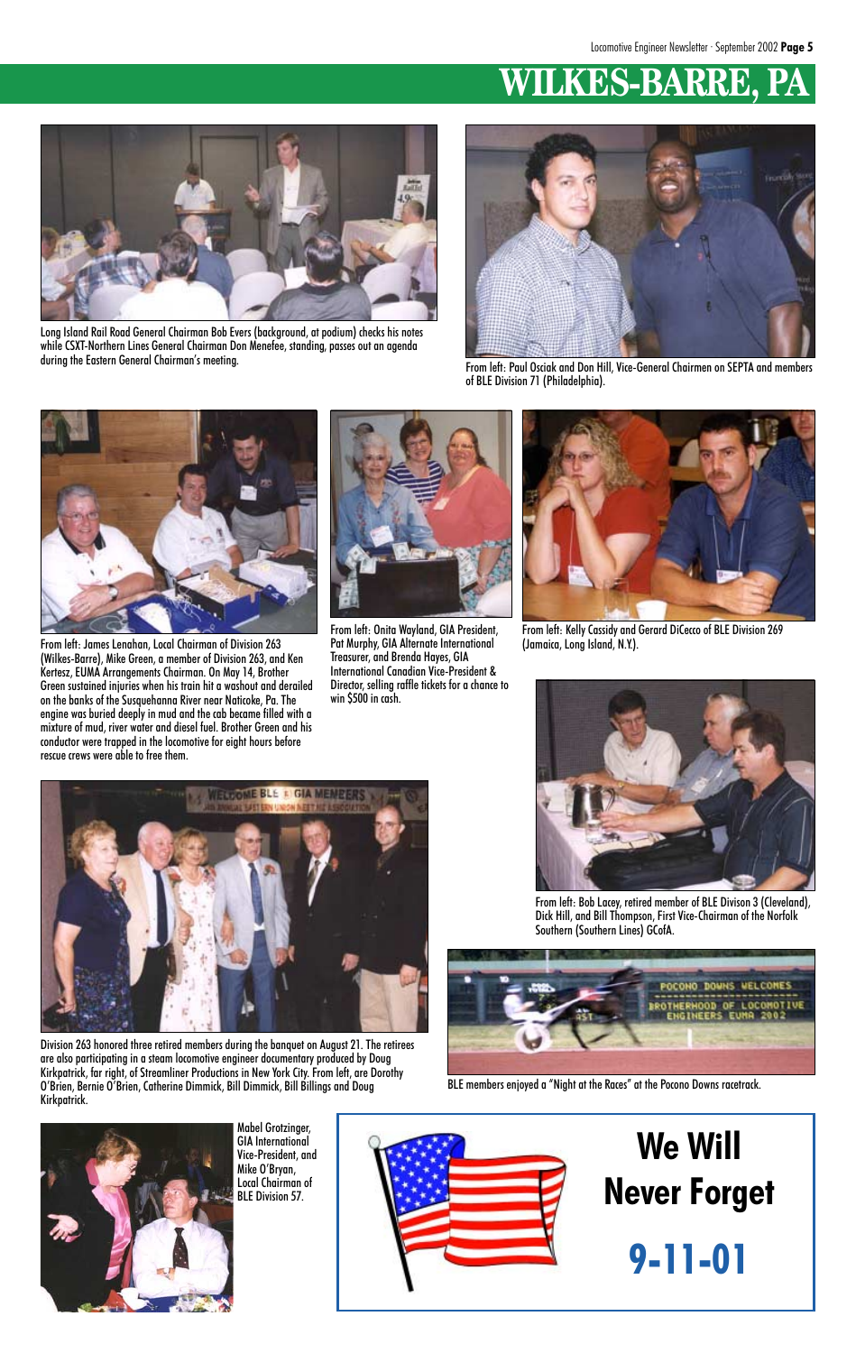## **WILKES-BARRE,**



From left: Bob Lacey, retired member of BLE Divison 3 (Cleveland), Dick Hill, and Bill Thompson, First Vice-Chairman of the Norfolk Southern (Southern Lines) GCofA.





From left: Paul Osciak and Don Hill, Vice-General Chairmen on SEPTA and members of BLE Division 71 (Philadelphia).



Long Island Rail Road General Chairman Bob Evers (background, at podium) checks his notes while CSXT-Northern Lines General Chairman Don Menefee, standing, passes out an agenda during the Eastern General Chairman's meeting.



From left: James Lenahan, Local Chairman of Division 263 (Wilkes-Barre), Mike Green, a member of Division 263, and Ken Kertesz, EUMA Arrangements Chairman. On May 14, Brother Green sustained injuries when his train hit a washout and derailed on the banks of the Susquehanna River near Naticoke, Pa. The engine was buried deeply in mud and the cab became filled with a mixture of mud, river water and diesel fuel. Brother Green and his conductor were trapped in the locomotive for eight hours before rescue crews were able to free them.



From left: Onita Wayland, GIA President, Pat Murphy, GIA Alternate International Treasurer, and Brenda Hayes, GIA International Canadian Vice-President & Director, selling raffle tickets for a chance to win \$500 in cash.

Division 263 honored three retired members during the banquet on August 21. The retirees are also participating in a steam locomotive engineer documentary produced by Doug Kirkpatrick, far right, of Streamliner Productions in New York City. From left, are Dorothy O'Brien, Bernie O'Brien, Catherine Dimmick, Bill Dimmick, Bill Billings and Doug Kirkpatrick.

> Mabel Grotzinger, GIA International Vice-President, and Mike O'Bryan, Local Chairman of BLE Division 57.

BLE members enjoyed a "Night at the Races" at the Pocono Downs racetrack.





From left: Kelly Cassidy and Gerard DiCecco of BLE Division 269 (Jamaica, Long Island, N.Y.).



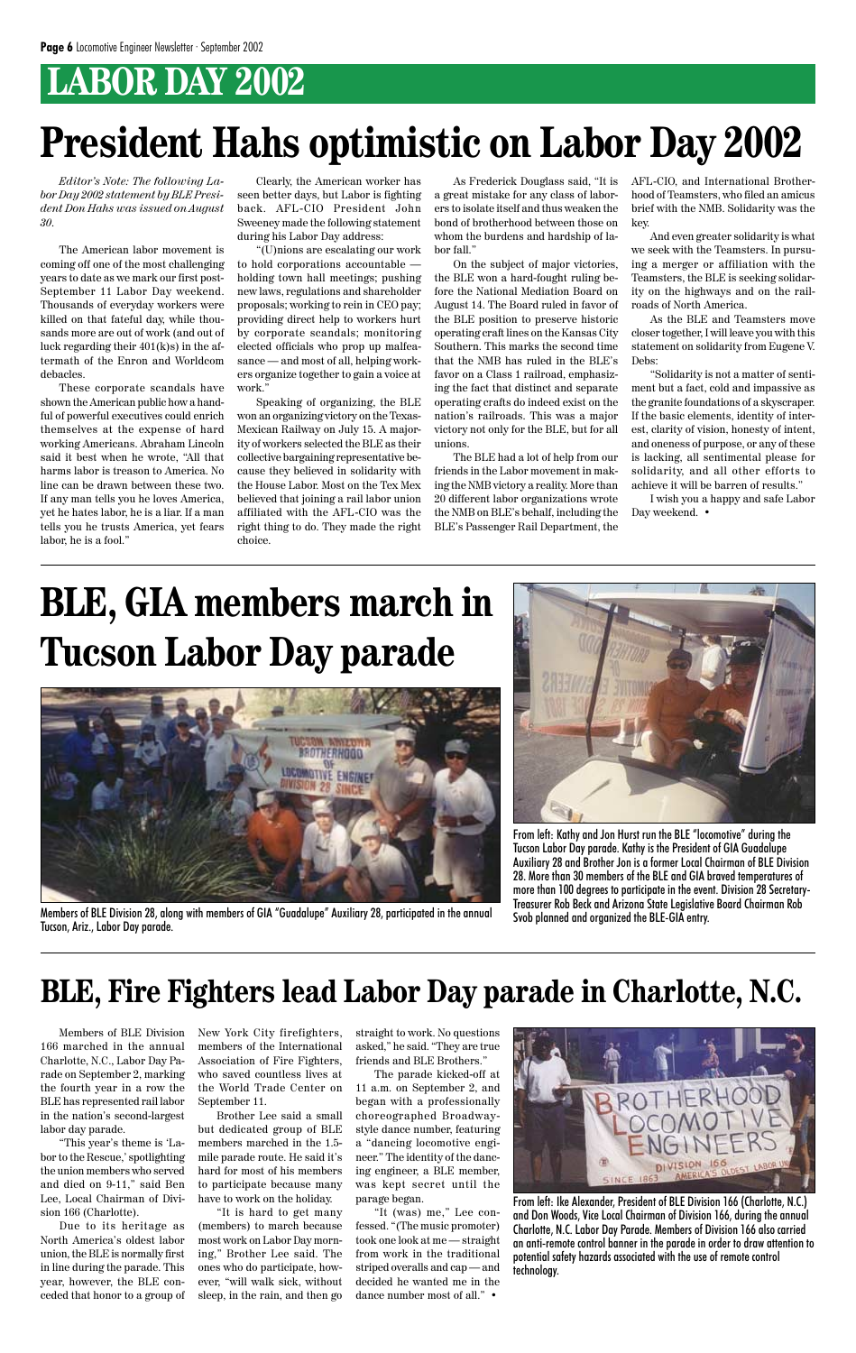## **LABOR DAY 2002**

# **President Hahs optimistic on Labor Day 2002**

*Editor's Note: The following Labor Day 2002 statement by BLE President Don Hahs was issued on August 30.*

The American labor movement is coming off one of the most challenging years to date as we mark our first post-September 11 Labor Day weekend. Thousands of everyday workers were killed on that fateful day, while thousands more are out of work (and out of luck regarding their 401(k)s) in the aftermath of the Enron and Worldcom debacles.

These corporate scandals have shown the American public how a handful of powerful executives could enrich themselves at the expense of hard working Americans. Abraham Lincoln said it best when he wrote, "All that harms labor is treason to America. No line can be drawn between these two. If any man tells you he loves America, yet he hates labor, he is a liar. If a man tells you he trusts America, yet fears labor, he is a fool."

Clearly, the American worker has seen better days, but Labor is fighting back. AFL-CIO President John Sweeney made the following statement during his Labor Day address:

"(U)nions are escalating our work to hold corporations accountable holding town hall meetings; pushing new laws, regulations and shareholder proposals; working to rein in CEO pay; providing direct help to workers hurt by corporate scandals; monitoring elected officials who prop up malfeasance — and most of all, helping workers organize together to gain a voice at work."

Speaking of organizing, the BLE won an organizing victory on the Texas-Mexican Railway on July 15. A majority of workers selected the BLE as their collective bargaining representative because they believed in solidarity with the House Labor. Most on the Tex Mex believed that joining a rail labor union affiliated with the AFL-CIO was the right thing to do. They made the right choice.

a great mistake for any class of laborers to isolate itself and thus weaken the bond of brotherhood between those on whom the burdens and hardship of labor fall."

On the subject of major victories, the BLE won a hard-fought ruling before the National Mediation Board on August 14. The Board ruled in favor of the BLE position to preserve historic operating craft lines on the Kansas City Southern. This marks the second time that the NMB has ruled in the BLE's favor on a Class 1 railroad, emphasizing the fact that distinct and separate operating crafts do indeed exist on the nation's railroads. This was a major victory not only for the BLE, but for all unions.

As Frederick Douglass said, "It is AFL-CIO, and International Brotherhood of Teamsters, who filed an amicus brief with the NMB. Solidarity was the key.

The BLE had a lot of help from our friends in the Labor movement in making the NMB victory a reality. More than 20 different labor organizations wrote the NMB on BLE's behalf, including the BLE's Passenger Rail Department, the

And even greater solidarity is what we seek with the Teamsters. In pursuing a merger or affiliation with the Teamsters, the BLE is seeking solidarity on the highways and on the railroads of North America.

As the BLE and Teamsters move closer together, I will leave you with this statement on solidarity from Eugene V. Debs:

"Solidarity is not a matter of sentiment but a fact, cold and impassive as the granite foundations of a skyscraper. If the basic elements, identity of interest, clarity of vision, honesty of intent, and oneness of purpose, or any of these is lacking, all sentimental please for solidarity, and all other efforts to achieve it will be barren of results."

I wish you a happy and safe Labor Day weekend. •

# **BLE, GIA members march in Tucson Labor Day parade**



Members of BLE Division 28, along with members of GIA "Guadalupe" Auxiliary 28, participated in the annual Tucson, Ariz., Labor Day parade.



From left: Kathy and Jon Hurst run the BLE "locomotive" during the Tucson Labor Day parade. Kathy is the President of GIA Guadalupe Auxiliary 28 and Brother Jon is a former Local Chairman of BLE Division 28. More than 30 members of the BLE and GIA braved temperatures of more than 100 degrees to participate in the event. Division 28 Secretary-Treasurer Rob Beck and Arizona State Legislative Board Chairman Rob Svob planned and organized the BLE-GIA entry.

Members of BLE Division 166 marched in the annual Charlotte, N.C., Labor Day Parade on September 2, marking the fourth year in a row the BLE has represented rail labor in the nation's second-largest labor day parade.

"This year's theme is 'Labor to the Rescue,' spotlighting the union members who served and died on 9-11," said Ben Lee, Local Chairman of Division 166 (Charlotte).

Due to its heritage as North America's oldest labor union, the BLE is normally first in line during the parade. This year, however, the BLE conceded that honor to a group of New York City firefighters, members of the International Association of Fire Fighters, who saved countless lives at the World Trade Center on September 11.

Brother Lee said a small but dedicated group of BLE members marched in the 1.5 mile parade route. He said it's hard for most of his members to participate because many have to work on the holiday.

"It is hard to get many (members) to march because most work on Labor Day morning," Brother Lee said. The ones who do participate, however, "will walk sick, without sleep, in the rain, and then go

straight to work. No questions asked," he said. "They are true friends and BLE Brothers."

The parade kicked-off at 11 a.m. on September 2, and began with a professionally choreographed Broadwaystyle dance number, featuring a "dancing locomotive engineer." The identity of the dancing engineer, a BLE member, was kept secret until the parage began.

"It (was) me," Lee confessed. "(The music promoter) took one look at me — straight from work in the traditional striped overalls and cap — and decided he wanted me in the dance number most of all." •



## **BLE, Fire Fighters lead Labor Day parade in Charlotte, N.C.**

From left: Ike Alexander, President of BLE Division 166 (Charlotte, N.C.) and Don Woods, Vice Local Chairman of Division 166, during the annual Charlotte, N.C. Labor Day Parade. Members of Division 166 also carried an anti-remote control banner in the parade in order to draw attention to potential safety hazards associated with the use of remote control technology.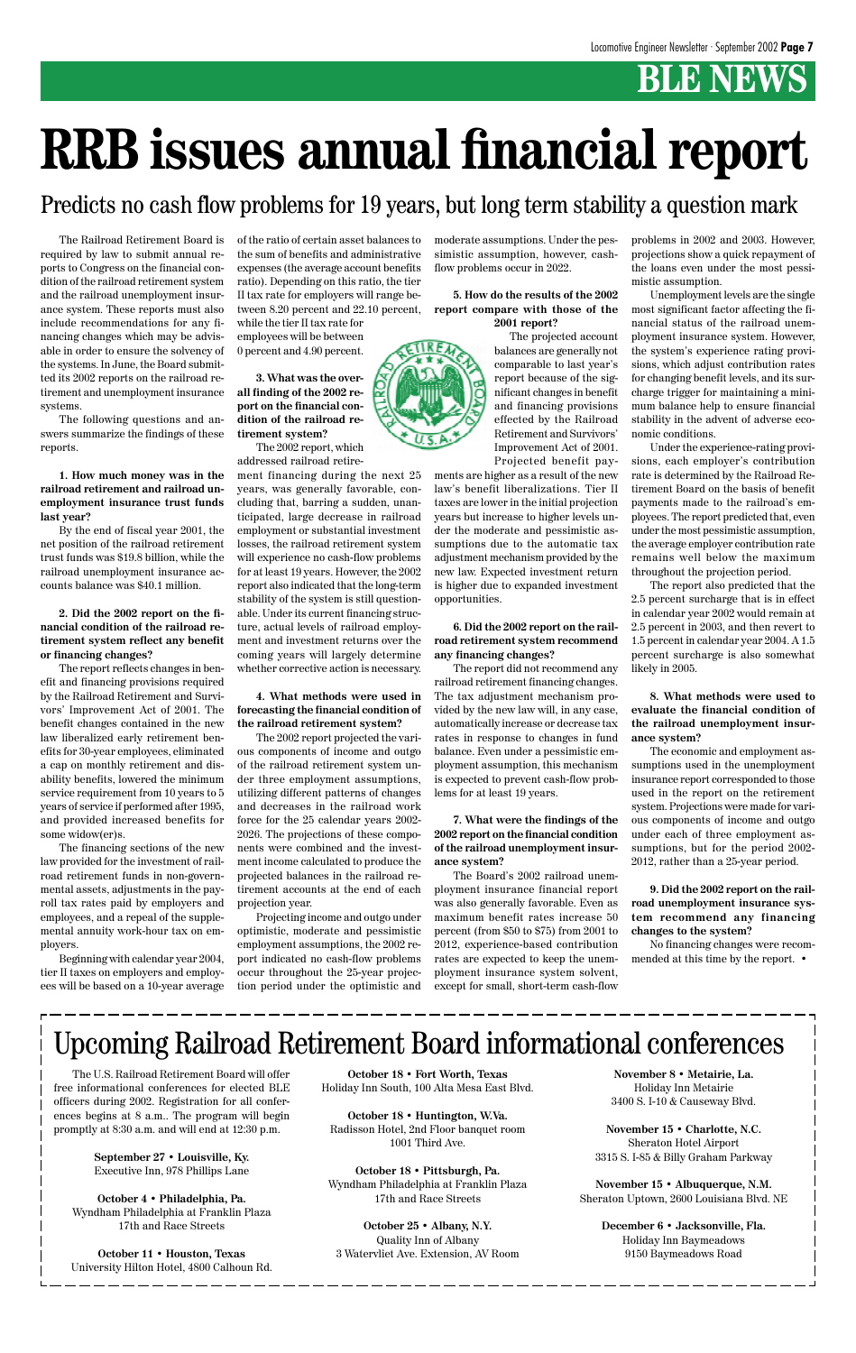## **BLE NEWS**

The Railroad Retirement Board is required by law to submit annual reports to Congress on the financial condition of the railroad retirement system and the railroad unemployment insurance system. These reports must also include recommendations for any financing changes which may be advisable in order to ensure the solvency of the systems. In June, the Board submitted its 2002 reports on the railroad retirement and unemployment insurance systems.

The following questions and answers summarize the findings of these reports.

**1. How much money was in the railroad retirement and railroad unemployment insurance trust funds last year?**

By the end of fiscal year 2001, the net position of the railroad retirement trust funds was \$19.8 billion, while the railroad unemployment insurance accounts balance was \$40.1 million.

**2. Did the 2002 report on the financial condition of the railroad retirement system reflect any benefit or financing changes?**

The report reflects changes in benefit and financing provisions required by the Railroad Retirement and Survivors' Improvement Act of 2001. The benefit changes contained in the new law liberalized early retirement benefits for 30-year employees, eliminated a cap on monthly retirement and disability benefits, lowered the minimum service requirement from 10 years to 5 years of service if performed after 1995, and provided increased benefits for some widow(er)s.

The financing sections of the new law provided for the investment of railroad retirement funds in non-governmental assets, adjustments in the payroll tax rates paid by employers and employees, and a repeal of the supplemental annuity work-hour tax on employers.

Beginning with calendar year 2004, tier II taxes on employers and employees will be based on a 10-year average of the ratio of certain asset balances to the sum of benefits and administrative expenses (the average account benefits ratio). Depending on this ratio, the tier II tax rate for employers will range between 8.20 percent and 22.10 percent, while the tier II tax rate for

employees will be between 0 percent and 4.90 percent.

**3. What was the overall finding of the 2002 report on the financial condition of the railroad retirement system?**

The 2002 report, which addressed railroad retire-

ment financing during the next 25 years, was generally favorable, concluding that, barring a sudden, unanticipated, large decrease in railroad employment or substantial investment losses, the railroad retirement system will experience no cash-flow problems for at least 19 years. However, the 2002 report also indicated that the long-term stability of the system is still questionable. Under its current financing structure, actual levels of railroad employment and investment returns over the coming years will largely determine whether corrective action is necessary.

#### **4. What methods were used in forecasting the financial condition of the railroad retirement system?**

The 2002 report projected the various components of income and outgo of the railroad retirement system under three employment assumptions, utilizing different patterns of changes and decreases in the railroad work force for the 25 calendar years 2002- 2026. The projections of these components were combined and the investment income calculated to produce the projected balances in the railroad retirement accounts at the end of each projection year.

Projecting income and outgo under optimistic, moderate and pessimistic employment assumptions, the 2002 report indicated no cash-flow problems occur throughout the 25-year projection period under the optimistic and moderate assumptions. Under the pessimistic assumption, however, cashflow problems occur in 2022.

**5. How do the results of the 2002 report compare with those of the 2001 report?**

> The projected account balances are generally not comparable to last year's report because of the significant changes in benefit and financing provisions effected by the Railroad Retirement and Survivors' Improvement Act of 2001. Projected benefit pay-

ments are higher as a result of the new law's benefit liberalizations. Tier II taxes are lower in the initial projection years but increase to higher levels under the moderate and pessimistic assumptions due to the automatic tax adjustment mechanism provided by the new law. Expected investment return is higher due to expanded investment opportunities.

#### **6. Did the 2002 report on the railroad retirement system recommend any financing changes?**

The report did not recommend any railroad retirement financing changes. The tax adjustment mechanism provided by the new law will, in any case, automatically increase or decrease tax rates in response to changes in fund balance. Even under a pessimistic employment assumption, this mechanism is expected to prevent cash-flow problems for at least 19 years.

#### **7. What were the findings of the 2002 report on the financial condition of the railroad unemployment insurance system?**

The Board's 2002 railroad unemployment insurance financial report was also generally favorable. Even as maximum benefit rates increase 50 percent (from \$50 to \$75) from 2001 to 2012, experience-based contribution rates are expected to keep the unemployment insurance system solvent, except for small, short-term cash-flow problems in 2002 and 2003. However, projections show a quick repayment of the loans even under the most pessimistic assumption.

Unemployment levels are the single most significant factor affecting the financial status of the railroad unemployment insurance system. However, the system's experience rating provisions, which adjust contribution rates for changing benefit levels, and its surcharge trigger for maintaining a minimum balance help to ensure financial stability in the advent of adverse economic conditions.

Under the experience-rating provisions, each employer's contribution rate is determined by the Railroad Retirement Board on the basis of benefit payments made to the railroad's employees. The report predicted that, even under the most pessimistic assumption, the average employer contribution rate remains well below the maximum throughout the projection period.

The report also predicted that the 2.5 percent surcharge that is in effect in calendar year 2002 would remain at 2.5 percent in 2003, and then revert to 1.5 percent in calendar year 2004. A 1.5 percent surcharge is also somewhat likely in 2005.

**8. What methods were used to evaluate the financial condition of the railroad unemployment insurance system?**

The economic and employment assumptions used in the unemployment insurance report corresponded to those used in the report on the retirement system. Projections were made for various components of income and outgo under each of three employment assumptions, but for the period 2002- 2012, rather than a 25-year period.

**9. Did the 2002 report on the railroad unemployment insurance system recommend any financing changes to the system?**

No financing changes were recommended at this time by the report. •



# **RRB issues annual financial report**

#### Predicts no cash flow problems for 19 years, but long term stability a question mark

The U.S. Railroad Retirement Board will offer free informational conferences for elected BLE officers during 2002. Registration for all conferences begins at 8 a.m.. The program will begin promptly at 8:30 a.m. and will end at 12:30 p.m.

> **September 27 • Louisville, Ky.** Executive Inn, 978 Phillips Lane

**October 4 • Philadelphia, Pa.** Wyndham Philadelphia at Franklin Plaza 17th and Race Streets

**October 11 • Houston, Texas** University Hilton Hotel, 4800 Calhoun Rd.

## Upcoming Railroad Retirement Board informational conferences

**October 18 • Fort Worth, Texas** Holiday Inn South, 100 Alta Mesa East Blvd.

**October 18 • Huntington, W.Va.** Radisson Hotel, 2nd Floor banquet room 1001 Third Ave.

**October 18 • Pittsburgh, Pa.** Wyndham Philadelphia at Franklin Plaza 17th and Race Streets

**October 25 • Albany, N.Y.** Quality Inn of Albany 3 Watervliet Ave. Extension, AV Room

**November 8 • Metairie, La.** Holiday Inn Metairie 3400 S. I-10 & Causeway Blvd.

**November 15 • Charlotte, N.C.** Sheraton Hotel Airport 3315 S. I-85 & Billy Graham Parkway

**November 15 • Albuquerque, N.M.** Sheraton Uptown, 2600 Louisiana Blvd. NE

> **December 6 • Jacksonville, Fla.** Holiday Inn Baymeadows 9150 Baymeadows Road